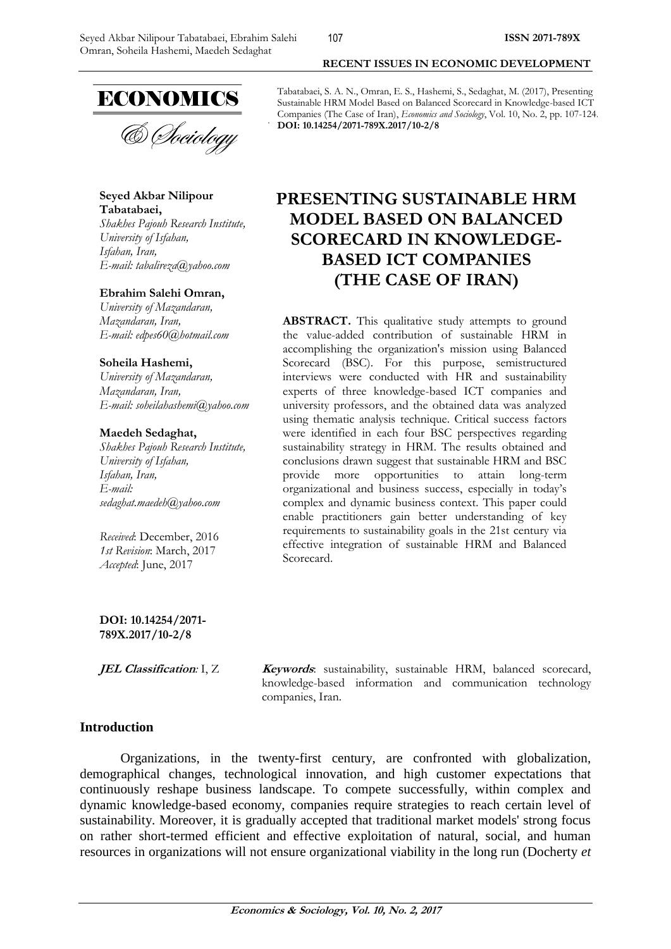# **ECONOMICS**

& *Choiology* 

**Seyed Akbar Nilipour Tabatabaei,** *Shakhes Pajouh Research Institute, University of Isfahan,*

*Isfahan, Iran, E-mail: tabalireza@yahoo.com*

#### **Ebrahim Salehi Omran,**

*University of Mazandaran, Mazandaran, Iran, E-mail: edpes60@hotmail.com*

#### **Soheila Hashemi,**

*University of Mazandaran, Mazandaran, Iran, E-mail: soheilahashemi@yahoo.com*

#### **Maedeh Sedaghat,**

*Shakhes Pajouh Research Institute, University of Isfahan, Isfahan, Iran, E-mail: sedaghat.maedeh@yahoo.com*

*Received*: December, 2016 *1st Revision*: March, 2017 *Accepted*: June, 2017

#### **DOI: 10.14254/2071- 789X.2017/10-2/8**

**JEL Classification:** I, Z **Keywords**: sustainability, sustainable HRM, balanced scorecard, knowledge-based information and communication technology companies, Iran.

## **Introduction**

Organizations, in the twenty-first century, are confronted with globalization, demographical changes, technological innovation, and high customer expectations that continuously reshape business landscape. To compete successfully, within complex and dynamic knowledge-based economy, companies require strategies to reach certain level of sustainability. Moreover, it is gradually accepted that traditional market models' strong focus on rather short-termed efficient and effective exploitation of natural, social, and human resources in organizations will not ensure organizational viability in the long run (Docherty *et* 

Tabatabaei, S. A. N., Omran, E. S., Hashemi, S., Sedaghat, M. (2017), Presenting Sustainable HRM Model Based on Balanced Scorecard in Knowledge-based ICT Companies (The Case of Iran), *Economics and Sociology*, Vol. 10, No. 2, pp. 107-124. **DOI: 10.14254/2071-789X.2017/10-2/8**

**RECENT ISSUES IN ECONOMIC DEVELOPMENT**

## **PRESENTING SUSTAINABLE HRM MODEL BASED ON BALANCED SCORECARD IN KNOWLEDGE-BASED ICT COMPANIES (THE CASE OF IRAN)**

ABSTRACT. This qualitative study attempts to ground the value-added contribution of sustainable HRM in accomplishing the organization's mission using Balanced Scorecard (BSC). For this purpose, semistructured interviews were conducted with HR and sustainability experts of three knowledge-based ICT companies and university professors, and the obtained data was analyzed using thematic analysis technique. Critical success factors were identified in each four BSC perspectives regarding sustainability strategy in HRM. The results obtained and conclusions drawn suggest that sustainable HRM and BSC provide more opportunities to attain long-term organizational and business success, especially in today's complex and dynamic business context. This paper could enable practitioners gain better understanding of key requirements to sustainability goals in the 21st century via effective integration of sustainable HRM and Balanced Scorecard.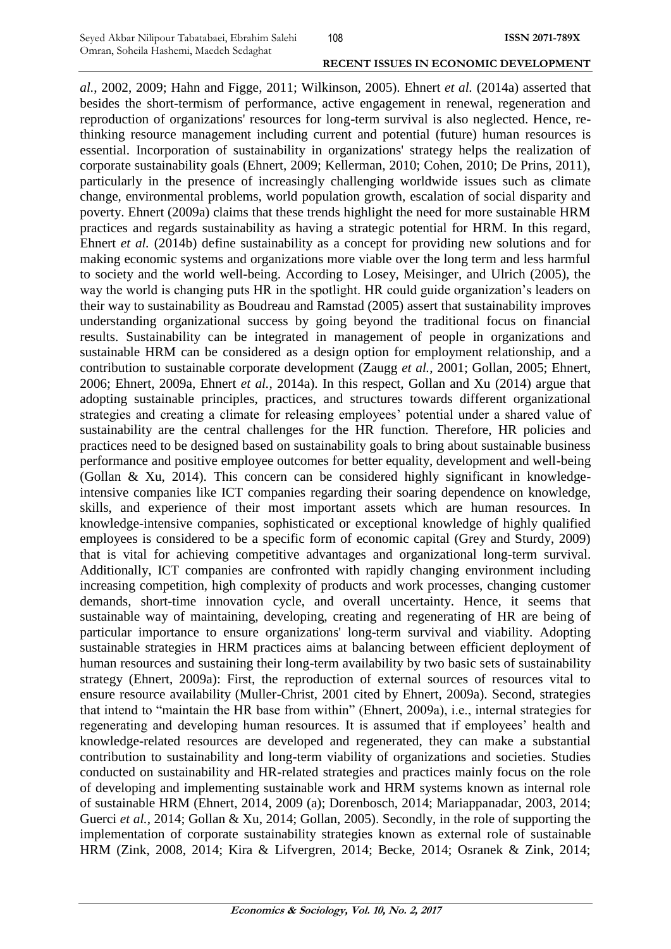*al.*, 2002, 2009; Hahn and Figge, 2011; Wilkinson, 2005). Ehnert *et al.* (2014a) asserted that besides the short-termism of performance, active engagement in renewal, regeneration and reproduction of organizations' resources for long-term survival is also neglected. Hence, rethinking resource management including current and potential (future) human resources is essential. Incorporation of sustainability in organizations' strategy helps the realization of corporate sustainability goals (Ehnert, 2009; Kellerman, 2010; Cohen, 2010; De Prins, 2011), particularly in the presence of increasingly challenging worldwide issues such as climate change, environmental problems, world population growth, escalation of social disparity and poverty. Ehnert (2009a) claims that these trends highlight the need for more sustainable HRM practices and regards sustainability as having a strategic potential for HRM. In this regard, Ehnert *et al.* (2014b) define sustainability as a concept for providing new solutions and for making economic systems and organizations more viable over the long term and less harmful to society and the world well-being. According to Losey, Meisinger, and Ulrich (2005), the way the world is changing puts HR in the spotlight. HR could guide organization's leaders on their way to sustainability as Boudreau and Ramstad (2005) assert that sustainability improves understanding organizational success by going beyond the traditional focus on financial results. Sustainability can be integrated in management of people in organizations and sustainable HRM can be considered as a design option for employment relationship, and a contribution to sustainable corporate development (Zaugg *et al.*, 2001; Gollan, 2005; Ehnert, 2006; Ehnert, 2009a, Ehnert *et al.*, 2014a). In this respect, Gollan and Xu (2014) argue that adopting sustainable principles, practices, and structures towards different organizational strategies and creating a climate for releasing employees' potential under a shared value of sustainability are the central challenges for the HR function. Therefore, HR policies and practices need to be designed based on sustainability goals to bring about sustainable business performance and positive employee outcomes for better equality, development and well-being (Gollan & Xu, 2014). This concern can be considered highly significant in knowledgeintensive companies like ICT companies regarding their soaring dependence on knowledge, skills, and experience of their most important assets which are human resources. In knowledge-intensive companies, sophisticated or exceptional knowledge of highly qualified employees is considered to be a specific form of economic capital (Grey and Sturdy, 2009) that is vital for achieving competitive advantages and organizational long-term survival. Additionally, ICT companies are confronted with rapidly changing environment including increasing competition, high complexity of products and work processes, changing customer demands, short-time innovation cycle, and overall uncertainty. Hence, it seems that sustainable way of maintaining, developing, creating and regenerating of HR are being of particular importance to ensure organizations' long-term survival and viability. Adopting sustainable strategies in HRM practices aims at balancing between efficient deployment of human resources and sustaining their long-term availability by two basic sets of sustainability strategy (Ehnert, 2009a): First, the reproduction of external sources of resources vital to ensure resource availability (Muller-Christ, 2001 cited by Ehnert, 2009a). Second, strategies that intend to "maintain the HR base from within" (Ehnert, 2009a), i.e., internal strategies for regenerating and developing human resources. It is assumed that if employees' health and knowledge-related resources are developed and regenerated, they can make a substantial contribution to sustainability and long-term viability of organizations and societies. Studies conducted on sustainability and HR-related strategies and practices mainly focus on the role of developing and implementing sustainable work and HRM systems known as internal role of sustainable HRM (Ehnert, 2014, 2009 (a); Dorenbosch, 2014; Mariappanadar, 2003, 2014; Guerci *et al.*, 2014; Gollan & Xu, 2014; Gollan, 2005). Secondly, in the role of supporting the implementation of corporate sustainability strategies known as external role of sustainable HRM (Zink, 2008, 2014; Kira & Lifvergren, 2014; Becke, 2014; Osranek & Zink, 2014;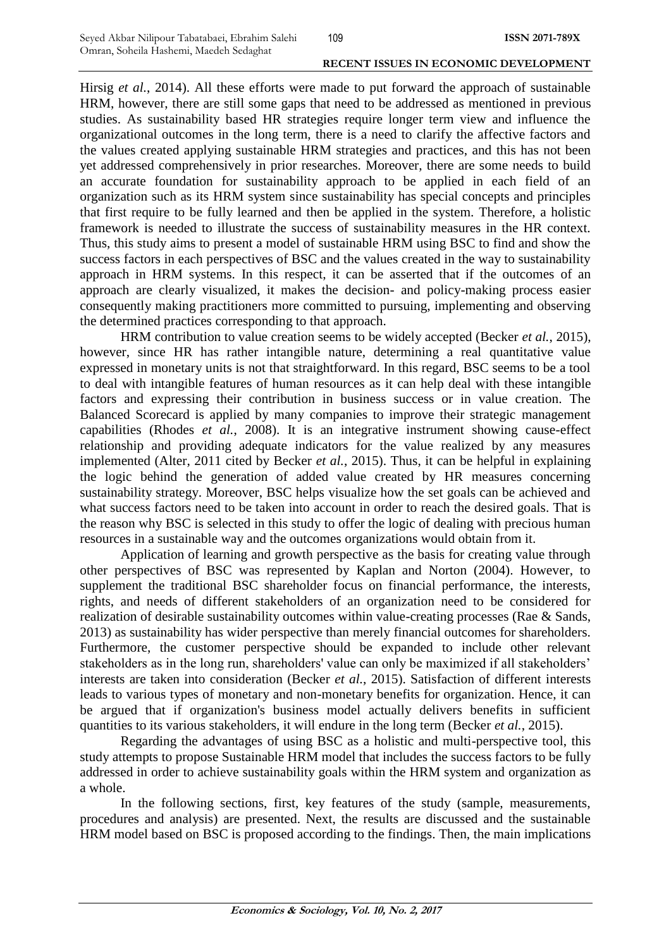Hirsig *et al.*, 2014). All these efforts were made to put forward the approach of sustainable HRM, however, there are still some gaps that need to be addressed as mentioned in previous studies. As sustainability based HR strategies require longer term view and influence the organizational outcomes in the long term, there is a need to clarify the affective factors and the values created applying sustainable HRM strategies and practices, and this has not been yet addressed comprehensively in prior researches. Moreover, there are some needs to build an accurate foundation for sustainability approach to be applied in each field of an organization such as its HRM system since sustainability has special concepts and principles that first require to be fully learned and then be applied in the system. Therefore, a holistic framework is needed to illustrate the success of sustainability measures in the HR context. Thus, this study aims to present a model of sustainable HRM using BSC to find and show the success factors in each perspectives of BSC and the values created in the way to sustainability approach in HRM systems. In this respect, it can be asserted that if the outcomes of an approach are clearly visualized, it makes the decision- and policy-making process easier consequently making practitioners more committed to pursuing, implementing and observing the determined practices corresponding to that approach.

HRM contribution to value creation seems to be widely accepted (Becker *et al.*, 2015), however, since HR has rather intangible nature, determining a real quantitative value expressed in monetary units is not that straightforward. In this regard, BSC seems to be a tool to deal with intangible features of human resources as it can help deal with these intangible factors and expressing their contribution in business success or in value creation. The Balanced Scorecard is applied by many companies to improve their strategic management capabilities (Rhodes *et al.*, 2008). It is an integrative instrument showing cause-effect relationship and providing adequate indicators for the value realized by any measures implemented (Alter, 2011 cited by Becker *et al.*, 2015). Thus, it can be helpful in explaining the logic behind the generation of added value created by HR measures concerning sustainability strategy. Moreover, BSC helps visualize how the set goals can be achieved and what success factors need to be taken into account in order to reach the desired goals. That is the reason why BSC is selected in this study to offer the logic of dealing with precious human resources in a sustainable way and the outcomes organizations would obtain from it.

Application of learning and growth perspective as the basis for creating value through other perspectives of BSC was represented by Kaplan and Norton (2004). However, to supplement the traditional BSC shareholder focus on financial performance, the interests, rights, and needs of different stakeholders of an organization need to be considered for realization of desirable sustainability outcomes within value-creating processes (Rae & Sands, 2013) as sustainability has wider perspective than merely financial outcomes for shareholders. Furthermore, the customer perspective should be expanded to include other relevant stakeholders as in the long run, shareholders' value can only be maximized if all stakeholders' interests are taken into consideration (Becker *et al.*, 2015). Satisfaction of different interests leads to various types of monetary and non-monetary benefits for organization. Hence, it can be argued that if organization's business model actually delivers benefits in sufficient quantities to its various stakeholders, it will endure in the long term (Becker *et al.*, 2015).

Regarding the advantages of using BSC as a holistic and multi-perspective tool, this study attempts to propose Sustainable HRM model that includes the success factors to be fully addressed in order to achieve sustainability goals within the HRM system and organization as a whole.

In the following sections, first, key features of the study (sample, measurements, procedures and analysis) are presented. Next, the results are discussed and the sustainable HRM model based on BSC is proposed according to the findings. Then, the main implications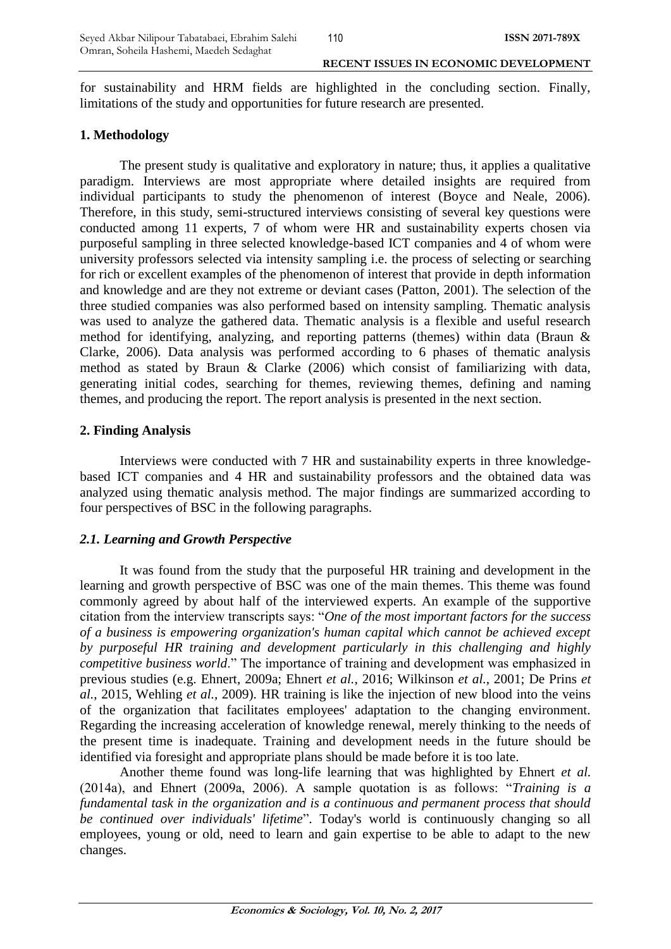for sustainability and HRM fields are highlighted in the concluding section. Finally, limitations of the study and opportunities for future research are presented.

## **1. Methodology**

The present study is qualitative and exploratory in nature; thus, it applies a qualitative paradigm. Interviews are most appropriate where detailed insights are required from individual participants to study the phenomenon of interest (Boyce and Neale, 2006). Therefore, in this study, semi-structured interviews consisting of several key questions were conducted among 11 experts, 7 of whom were HR and sustainability experts chosen via purposeful sampling in three selected knowledge-based ICT companies and 4 of whom were university professors selected via intensity sampling i.e. the process of selecting or searching for rich or excellent examples of the phenomenon of interest that provide in depth information and knowledge and are they not extreme or deviant cases (Patton, 2001). The selection of the three studied companies was also performed based on intensity sampling. Thematic analysis was used to analyze the gathered data. Thematic analysis is a flexible and useful research method for identifying, analyzing, and reporting patterns (themes) within data (Braun & Clarke, 2006). Data analysis was performed according to 6 phases of thematic analysis method as stated by Braun & Clarke (2006) which consist of familiarizing with data, generating initial codes, searching for themes, reviewing themes, defining and naming themes, and producing the report. The report analysis is presented in the next section.

## **2. Finding Analysis**

Interviews were conducted with 7 HR and sustainability experts in three knowledgebased ICT companies and 4 HR and sustainability professors and the obtained data was analyzed using thematic analysis method. The major findings are summarized according to four perspectives of BSC in the following paragraphs.

## *2.1. Learning and Growth Perspective*

It was found from the study that the purposeful HR training and development in the learning and growth perspective of BSC was one of the main themes. This theme was found commonly agreed by about half of the interviewed experts. An example of the supportive citation from the interview transcripts says: "*One of the most important factors for the success of a business is empowering organization's human capital which cannot be achieved except by purposeful HR training and development particularly in this challenging and highly competitive business world*." The importance of training and development was emphasized in previous studies (e.g. Ehnert, 2009a; Ehnert *et al.*, 2016; Wilkinson *et al.*, 2001; De Prins *et al.*, 2015, Wehling *et al.*, 2009). HR training is like the injection of new blood into the veins of the organization that facilitates employees' adaptation to the changing environment. Regarding the increasing acceleration of knowledge renewal, merely thinking to the needs of the present time is inadequate. Training and development needs in the future should be identified via foresight and appropriate plans should be made before it is too late.

Another theme found was long-life learning that was highlighted by Ehnert *et al.* (2014a), and Ehnert (2009a, 2006). A sample quotation is as follows: "*Training is a fundamental task in the organization and is a continuous and permanent process that should be continued over individuals' lifetime*". Today's world is continuously changing so all employees, young or old, need to learn and gain expertise to be able to adapt to the new changes.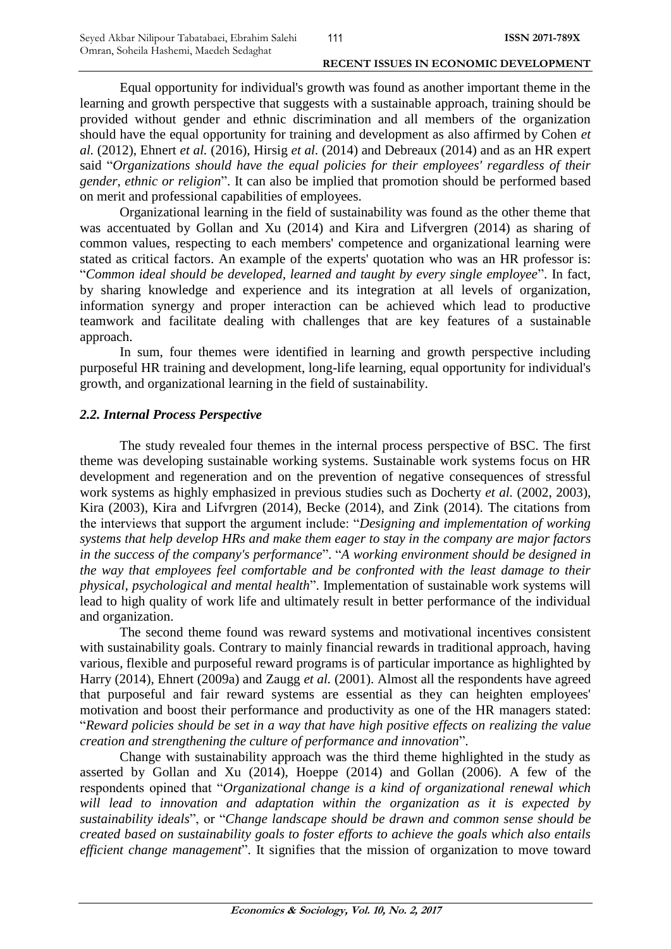Equal opportunity for individual's growth was found as another important theme in the learning and growth perspective that suggests with a sustainable approach, training should be provided without gender and ethnic discrimination and all members of the organization should have the equal opportunity for training and development as also affirmed by Cohen *et al.* (2012), Ehnert *et al.* (2016), Hirsig *et al.* (2014) and Debreaux (2014) and as an HR expert said "*Organizations should have the equal policies for their employees' regardless of their gender, ethnic or religion*". It can also be implied that promotion should be performed based on merit and professional capabilities of employees.

Organizational learning in the field of sustainability was found as the other theme that was accentuated by Gollan and Xu (2014) and Kira and Lifvergren (2014) as sharing of common values, respecting to each members' competence and organizational learning were stated as critical factors. An example of the experts' quotation who was an HR professor is: "*Common ideal should be developed, learned and taught by every single employee*". In fact, by sharing knowledge and experience and its integration at all levels of organization, information synergy and proper interaction can be achieved which lead to productive teamwork and facilitate dealing with challenges that are key features of a sustainable approach.

In sum, four themes were identified in learning and growth perspective including purposeful HR training and development, long-life learning, equal opportunity for individual's growth, and organizational learning in the field of sustainability.

#### *2.2. Internal Process Perspective*

The study revealed four themes in the internal process perspective of BSC. The first theme was developing sustainable working systems. Sustainable work systems focus on HR development and regeneration and on the prevention of negative consequences of stressful work systems as highly emphasized in previous studies such as Docherty *et al.* (2002, 2003), Kira (2003), Kira and Lifvrgren (2014), Becke (2014), and Zink (2014). The citations from the interviews that support the argument include: "*Designing and implementation of working systems that help develop HRs and make them eager to stay in the company are major factors in the success of the company's performance*". "*A working environment should be designed in the way that employees feel comfortable and be confronted with the least damage to their physical, psychological and mental health*". Implementation of sustainable work systems will lead to high quality of work life and ultimately result in better performance of the individual and organization.

The second theme found was reward systems and motivational incentives consistent with sustainability goals. Contrary to mainly financial rewards in traditional approach, having various, flexible and purposeful reward programs is of particular importance as highlighted by Harry (2014), Ehnert (2009a) and Zaugg *et al.* (2001). Almost all the respondents have agreed that purposeful and fair reward systems are essential as they can heighten employees' motivation and boost their performance and productivity as one of the HR managers stated: "*Reward policies should be set in a way that have high positive effects on realizing the value creation and strengthening the culture of performance and innovation*".

Change with sustainability approach was the third theme highlighted in the study as asserted by Gollan and Xu (2014), Hoeppe (2014) and Gollan (2006). A few of the respondents opined that "*Organizational change is a kind of organizational renewal which will lead to innovation and adaptation within the organization as it is expected by sustainability ideals*", or "*Change landscape should be drawn and common sense should be created based on sustainability goals to foster efforts to achieve the goals which also entails efficient change management*". It signifies that the mission of organization to move toward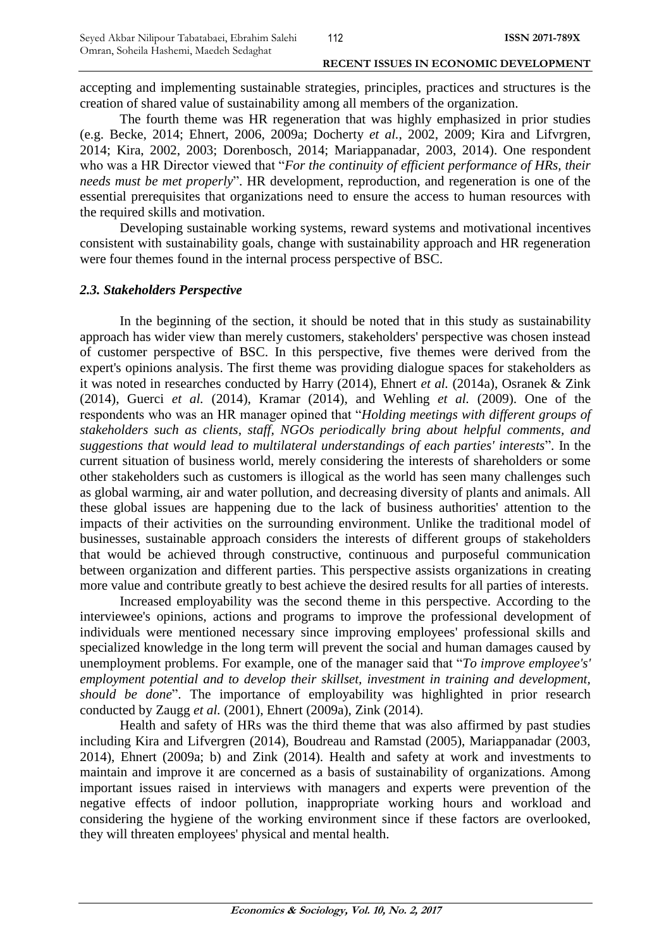accepting and implementing sustainable strategies, principles, practices and structures is the creation of shared value of sustainability among all members of the organization.

The fourth theme was HR regeneration that was highly emphasized in prior studies (e.g. Becke, 2014; Ehnert, 2006, 2009a; Docherty *et al.*, 2002, 2009; Kira and Lifvrgren, 2014; Kira, 2002, 2003; Dorenbosch, 2014; Mariappanadar, 2003, 2014). One respondent who was a HR Director viewed that "*For the continuity of efficient performance of HRs, their needs must be met properly*". HR development, reproduction, and regeneration is one of the essential prerequisites that organizations need to ensure the access to human resources with the required skills and motivation.

Developing sustainable working systems, reward systems and motivational incentives consistent with sustainability goals, change with sustainability approach and HR regeneration were four themes found in the internal process perspective of BSC.

## *2.3. Stakeholders Perspective*

In the beginning of the section, it should be noted that in this study as sustainability approach has wider view than merely customers, stakeholders' perspective was chosen instead of customer perspective of BSC. In this perspective, five themes were derived from the expert's opinions analysis. The first theme was providing dialogue spaces for stakeholders as it was noted in researches conducted by Harry (2014), Ehnert *et al.* (2014a), Osranek & Zink (2014), Guerci *et al.* (2014), Kramar (2014), and Wehling *et al.* (2009). One of the respondents who was an HR manager opined that "*Holding meetings with different groups of stakeholders such as clients, staff, NGOs periodically bring about helpful comments, and suggestions that would lead to multilateral understandings of each parties' interests*". In the current situation of business world, merely considering the interests of shareholders or some other stakeholders such as customers is illogical as the world has seen many challenges such as global warming, air and water pollution, and decreasing diversity of plants and animals. All these global issues are happening due to the lack of business authorities' attention to the impacts of their activities on the surrounding environment. Unlike the traditional model of businesses, sustainable approach considers the interests of different groups of stakeholders that would be achieved through constructive, continuous and purposeful communication between organization and different parties. This perspective assists organizations in creating more value and contribute greatly to best achieve the desired results for all parties of interests.

Increased employability was the second theme in this perspective. According to the interviewee's opinions, actions and programs to improve the professional development of individuals were mentioned necessary since improving employees' professional skills and specialized knowledge in the long term will prevent the social and human damages caused by unemployment problems. For example, one of the manager said that "*To improve employee's' employment potential and to develop their skillset, investment in training and development, should be done*". The importance of employability was highlighted in prior research conducted by Zaugg *et al.* (2001), Ehnert (2009a), Zink (2014).

Health and safety of HRs was the third theme that was also affirmed by past studies including Kira and Lifvergren (2014), Boudreau and Ramstad (2005), Mariappanadar (2003, 2014), Ehnert (2009a; b) and Zink (2014). Health and safety at work and investments to maintain and improve it are concerned as a basis of sustainability of organizations. Among important issues raised in interviews with managers and experts were prevention of the negative effects of indoor pollution, inappropriate working hours and workload and considering the hygiene of the working environment since if these factors are overlooked, they will threaten employees' physical and mental health.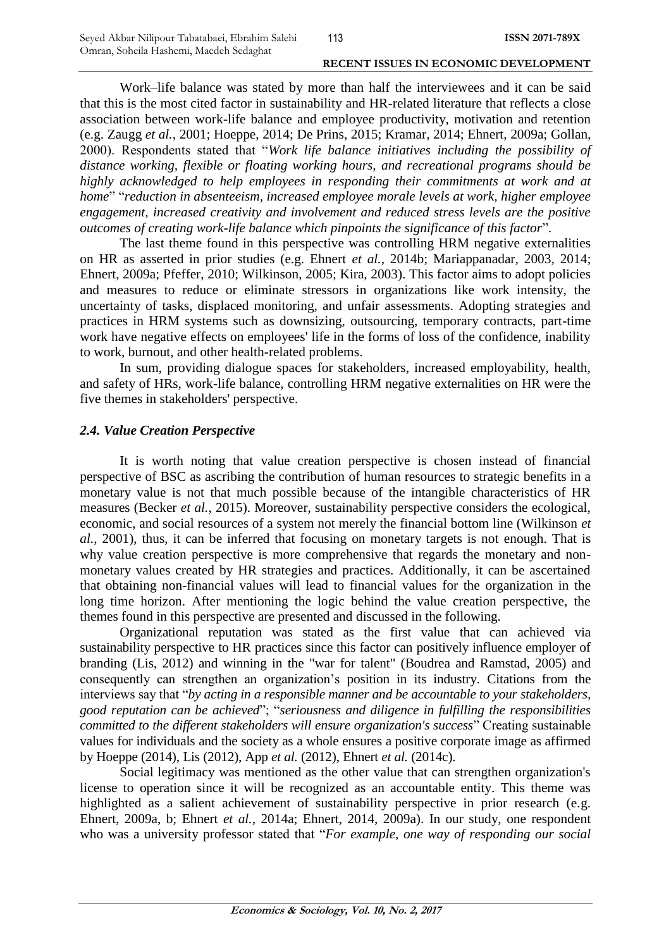Work–life balance was stated by more than half the interviewees and it can be said that this is the most cited factor in sustainability and HR-related literature that reflects a close association between work-life balance and employee productivity, motivation and retention (e.g. Zaugg *et al.*, 2001; Hoeppe, 2014; De Prins, 2015; Kramar, 2014; Ehnert, 2009a; Gollan, 2000). Respondents stated that "*Work life balance initiatives including the possibility of distance working, flexible or floating working hours, and recreational programs should be highly acknowledged to help employees in responding their commitments at work and at home*" "*reduction in absenteeism, increased employee morale levels at work, higher employee engagement, increased creativity and involvement and reduced stress levels are the positive outcomes of creating work-life balance which pinpoints the significance of this factor*".

The last theme found in this perspective was controlling HRM negative externalities on HR as asserted in prior studies (e.g. Ehnert *et al.*, 2014b; Mariappanadar, 2003, 2014; Ehnert, 2009a; Pfeffer, 2010; Wilkinson, 2005; Kira, 2003). This factor aims to adopt policies and measures to reduce or eliminate stressors in organizations like work intensity, the uncertainty of tasks, displaced monitoring, and unfair assessments. Adopting strategies and practices in HRM systems such as downsizing, outsourcing, temporary contracts, part-time work have negative effects on employees' life in the forms of loss of the confidence, inability to work, burnout, and other health-related problems.

In sum, providing dialogue spaces for stakeholders, increased employability, health, and safety of HRs, work-life balance, controlling HRM negative externalities on HR were the five themes in stakeholders' perspective.

## *2.4. Value Creation Perspective*

It is worth noting that value creation perspective is chosen instead of financial perspective of BSC as ascribing the contribution of human resources to strategic benefits in a monetary value is not that much possible because of the intangible characteristics of HR measures (Becker *et al.*, 2015). Moreover, sustainability perspective considers the ecological, economic, and social resources of a system not merely the financial bottom line (Wilkinson *et al.*, 2001), thus, it can be inferred that focusing on monetary targets is not enough. That is why value creation perspective is more comprehensive that regards the monetary and nonmonetary values created by HR strategies and practices. Additionally, it can be ascertained that obtaining non-financial values will lead to financial values for the organization in the long time horizon. After mentioning the logic behind the value creation perspective, the themes found in this perspective are presented and discussed in the following.

Organizational reputation was stated as the first value that can achieved via sustainability perspective to HR practices since this factor can positively influence employer of branding (Lis, 2012) and winning in the "war for talent" (Boudrea and Ramstad, 2005) and consequently can strengthen an organization's position in its industry. Citations from the interviews say that "*by acting in a responsible manner and be accountable to your stakeholders, good reputation can be achieved*"; "*seriousness and diligence in fulfilling the responsibilities committed to the different stakeholders will ensure organization's success*" Creating sustainable values for individuals and the society as a whole ensures a positive corporate image as affirmed by Hoeppe (2014), Lis (2012), App *et al.* (2012), Ehnert *et al.* (2014c).

Social legitimacy was mentioned as the other value that can strengthen organization's license to operation since it will be recognized as an accountable entity. This theme was highlighted as a salient achievement of sustainability perspective in prior research (e.g. Ehnert, 2009a, b; Ehnert *et al.*, 2014a; Ehnert, 2014, 2009a). In our study, one respondent who was a university professor stated that "*For example, one way of responding our social* 

113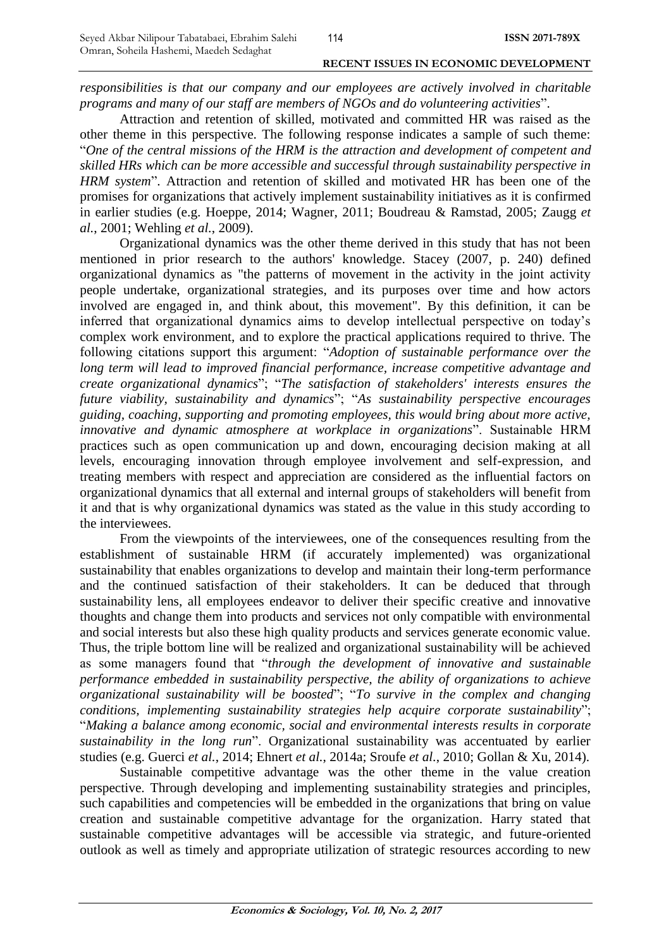*responsibilities is that our company and our employees are actively involved in charitable programs and many of our staff are members of NGOs and do volunteering activities*".

Attraction and retention of skilled, motivated and committed HR was raised as the other theme in this perspective. The following response indicates a sample of such theme: "*One of the central missions of the HRM is the attraction and development of competent and skilled HRs which can be more accessible and successful through sustainability perspective in HRM system*". Attraction and retention of skilled and motivated HR has been one of the promises for organizations that actively implement sustainability initiatives as it is confirmed in earlier studies (e.g. Hoeppe, 2014; Wagner, 2011; Boudreau & Ramstad, 2005; Zaugg *et al.*, 2001; Wehling *et al.*, 2009).

Organizational dynamics was the other theme derived in this study that has not been mentioned in prior research to the authors' knowledge. Stacey (2007, p. 240) defined organizational dynamics as "the patterns of movement in the activity in the joint activity people undertake, organizational strategies, and its purposes over time and how actors involved are engaged in, and think about, this movement". By this definition, it can be inferred that organizational dynamics aims to develop intellectual perspective on today's complex work environment, and to explore the practical applications required to thrive. The following citations support this argument: "*Adoption of sustainable performance over the long term will lead to improved financial performance, increase competitive advantage and create organizational dynamics*"; "*The satisfaction of stakeholders' interests ensures the future viability, sustainability and dynamics*"; "*As sustainability perspective encourages guiding, coaching, supporting and promoting employees, this would bring about more active, innovative and dynamic atmosphere at workplace in organizations*". Sustainable HRM practices such as open communication up and down, encouraging decision making at all levels, encouraging innovation through employee involvement and self-expression, and treating members with respect and appreciation are considered as the influential factors on organizational dynamics that all external and internal groups of stakeholders will benefit from it and that is why organizational dynamics was stated as the value in this study according to the interviewees.

From the viewpoints of the interviewees, one of the consequences resulting from the establishment of sustainable HRM (if accurately implemented) was organizational sustainability that enables organizations to develop and maintain their long-term performance and the continued satisfaction of their stakeholders. It can be deduced that through sustainability lens, all employees endeavor to deliver their specific creative and innovative thoughts and change them into products and services not only compatible with environmental and social interests but also these high quality products and services generate economic value. Thus, the triple bottom line will be realized and organizational sustainability will be achieved as some managers found that "*through the development of innovative and sustainable performance embedded in sustainability perspective, the ability of organizations to achieve organizational sustainability will be boosted*"; "*To survive in the complex and changing conditions, implementing sustainability strategies help acquire corporate sustainability*"; "*Making a balance among economic, social and environmental interests results in corporate sustainability in the long run*". Organizational sustainability was accentuated by earlier studies (e.g. Guerci *et al.*, 2014; Ehnert *et al.*, 2014a; Sroufe *et al.*, 2010; Gollan & Xu, 2014).

Sustainable competitive advantage was the other theme in the value creation perspective. Through developing and implementing sustainability strategies and principles, such capabilities and competencies will be embedded in the organizations that bring on value creation and sustainable competitive advantage for the organization. Harry stated that sustainable competitive advantages will be accessible via strategic, and future-oriented outlook as well as timely and appropriate utilization of strategic resources according to new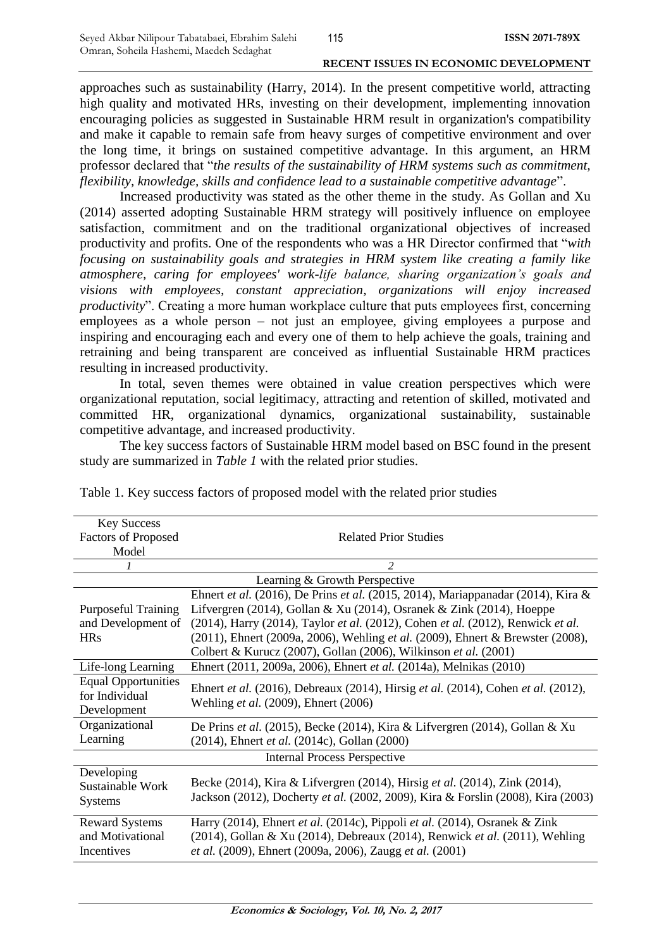approaches such as sustainability (Harry, 2014). In the present competitive world, attracting high quality and motivated HRs, investing on their development, implementing innovation encouraging policies as suggested in Sustainable HRM result in organization's compatibility and make it capable to remain safe from heavy surges of competitive environment and over the long time, it brings on sustained competitive advantage. In this argument, an HRM professor declared that "*the results of the sustainability of HRM systems such as commitment, flexibility, knowledge, skills and confidence lead to a sustainable competitive advantage*".

Increased productivity was stated as the other theme in the study. As Gollan and Xu (2014) asserted adopting Sustainable HRM strategy will positively influence on employee satisfaction, commitment and on the traditional organizational objectives of increased productivity and profits. One of the respondents who was a HR Director confirmed that "*with focusing on sustainability goals and strategies in HRM system like creating a family like atmosphere, caring for employees' work-life balance, sharing organization's goals and visions with employees, constant appreciation, organizations will enjoy increased productivity*". Creating a more human workplace culture that puts employees first, concerning employees as a whole person – not just an employee, giving employees a purpose and inspiring and encouraging each and every one of them to help achieve the goals, training and retraining and being transparent are conceived as influential Sustainable HRM practices resulting in increased productivity.

In total, seven themes were obtained in value creation perspectives which were organizational reputation, social legitimacy, attracting and retention of skilled, motivated and committed HR, organizational dynamics, organizational sustainability, sustainable competitive advantage, and increased productivity.

The key success factors of Sustainable HRM model based on BSC found in the present study are summarized in *Table 1* with the related prior studies.

| <b>Key Success</b>                  |                                                                                                                           |  |
|-------------------------------------|---------------------------------------------------------------------------------------------------------------------------|--|
| <b>Factors of Proposed</b>          | <b>Related Prior Studies</b>                                                                                              |  |
| Model                               |                                                                                                                           |  |
|                                     | $\mathfrak{D}$                                                                                                            |  |
| Learning & Growth Perspective       |                                                                                                                           |  |
|                                     | Ehnert et al. (2016), De Prins et al. (2015, 2014), Mariappanadar (2014), Kira &                                          |  |
| <b>Purposeful Training</b>          | Lifvergren (2014), Gollan & Xu (2014), Osranek & Zink (2014), Hoeppe                                                      |  |
| and Development of                  | (2014), Harry (2014), Taylor et al. (2012), Cohen et al. (2012), Renwick et al.                                           |  |
| <b>HRs</b>                          | (2011), Ehnert (2009a, 2006), Wehling et al. (2009), Ehnert & Brewster (2008),                                            |  |
|                                     | Colbert & Kurucz (2007), Gollan (2006), Wilkinson et al. (2001)                                                           |  |
| Life-long Learning                  | Ehnert (2011, 2009a, 2006), Ehnert et al. (2014a), Melnikas (2010)                                                        |  |
| <b>Equal Opportunities</b>          | Ehnert et al. (2016), Debreaux (2014), Hirsig et al. (2014), Cohen et al. (2012),<br>Wehling et al. (2009), Ehnert (2006) |  |
| for Individual                      |                                                                                                                           |  |
| Development                         |                                                                                                                           |  |
| Organizational                      | De Prins et al. (2015), Becke (2014), Kira & Lifvergren (2014), Gollan & Xu                                               |  |
| Learning                            | (2014), Ehnert et al. (2014c), Gollan (2000)                                                                              |  |
| <b>Internal Process Perspective</b> |                                                                                                                           |  |
| Developing                          |                                                                                                                           |  |
| Sustainable Work                    | Becke (2014), Kira & Lifvergren (2014), Hirsig et al. (2014), Zink (2014),                                                |  |
| <b>Systems</b>                      | Jackson (2012), Docherty et al. (2002, 2009), Kira & Forslin (2008), Kira (2003)                                          |  |
| <b>Reward Systems</b>               | Harry (2014), Ehnert et al. (2014c), Pippoli et al. (2014), Osranek & Zink                                                |  |
| and Motivational                    | (2014), Gollan & Xu (2014), Debreaux (2014), Renwick et al. (2011), Wehling                                               |  |
| Incentives                          | et al. (2009), Ehnert (2009a, 2006), Zaugg et al. (2001)                                                                  |  |

Table 1. Key success factors of proposed model with the related prior studies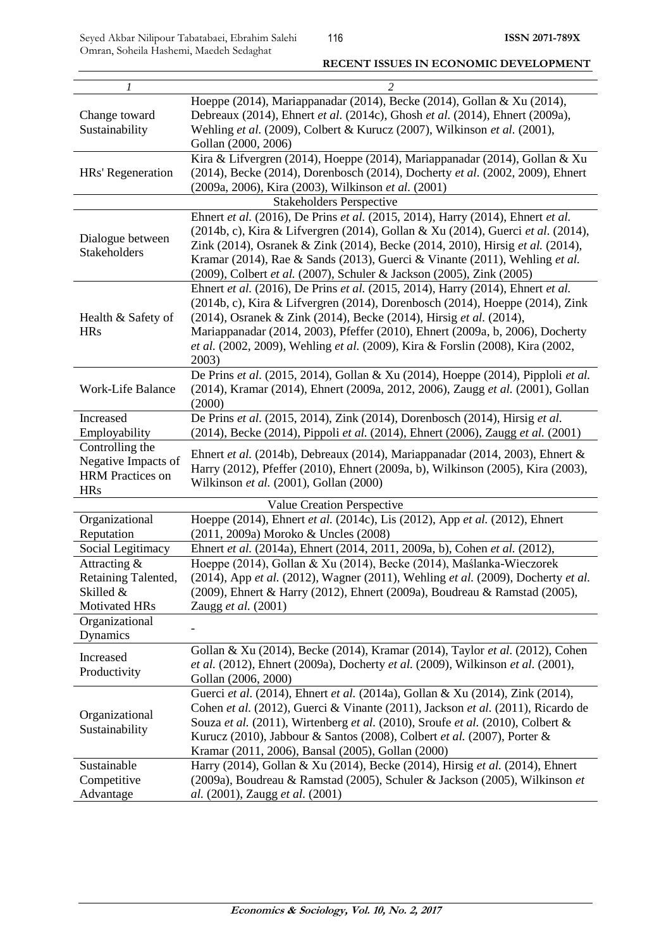Seyed Akbar Nilipour Tabatabaei, Ebrahim Salehi Omran, Soheila Hashemi, Maedeh Sedaghat

| 1                                                                               | $\overline{c}$                                                                                                                                                                                                                                                                                                                                                                                                    |  |
|---------------------------------------------------------------------------------|-------------------------------------------------------------------------------------------------------------------------------------------------------------------------------------------------------------------------------------------------------------------------------------------------------------------------------------------------------------------------------------------------------------------|--|
| Change toward<br>Sustainability                                                 | Hoeppe (2014), Mariappanadar (2014), Becke (2014), Gollan & Xu (2014),<br>Debreaux (2014), Ehnert et al. (2014c), Ghosh et al. (2014), Ehnert (2009a),<br>Wehling et al. (2009), Colbert & Kurucz (2007), Wilkinson et al. (2001),<br>Gollan (2000, 2006)                                                                                                                                                         |  |
| HRs' Regeneration                                                               | Kira & Lifvergren (2014), Hoeppe (2014), Mariappanadar (2014), Gollan & Xu<br>(2014), Becke (2014), Dorenbosch (2014), Docherty et al. (2002, 2009), Ehnert<br>(2009a, 2006), Kira (2003), Wilkinson et al. (2001)                                                                                                                                                                                                |  |
| <b>Stakeholders Perspective</b>                                                 |                                                                                                                                                                                                                                                                                                                                                                                                                   |  |
| Dialogue between<br>Stakeholders                                                | Ehnert et al. (2016), De Prins et al. (2015, 2014), Harry (2014), Ehnert et al.<br>(2014b, c), Kira & Lifvergren (2014), Gollan & Xu (2014), Guerci et al. (2014),<br>Zink (2014), Osranek & Zink (2014), Becke (2014, 2010), Hirsig et al. (2014),<br>Kramar (2014), Rae & Sands (2013), Guerci & Vinante (2011), Wehling et al.<br>(2009), Colbert et al. (2007), Schuler & Jackson (2005), Zink (2005)         |  |
| Health & Safety of<br><b>HRs</b>                                                | Ehnert et al. (2016), De Prins et al. (2015, 2014), Harry (2014), Ehnert et al.<br>(2014b, c), Kira & Lifvergren (2014), Dorenbosch (2014), Hoeppe (2014), Zink<br>(2014), Osranek & Zink (2014), Becke (2014), Hirsig et al. (2014),<br>Mariappanadar (2014, 2003), Pfeffer (2010), Ehnert (2009a, b, 2006), Docherty<br>et al. (2002, 2009), Wehling et al. (2009), Kira & Forslin (2008), Kira (2002,<br>2003) |  |
| Work-Life Balance                                                               | De Prins et al. (2015, 2014), Gollan & Xu (2014), Hoeppe (2014), Pipploli et al.<br>(2014), Kramar (2014), Ehnert (2009a, 2012, 2006), Zaugg et al. (2001), Gollan<br>(2000)                                                                                                                                                                                                                                      |  |
| Increased<br>Employability                                                      | De Prins et al. (2015, 2014), Zink (2014), Dorenbosch (2014), Hirsig et al.<br>(2014), Becke (2014), Pippoli et al. (2014), Ehnert (2006), Zaugg et al. (2001)                                                                                                                                                                                                                                                    |  |
| Controlling the<br>Negative Impacts of<br><b>HRM</b> Practices on<br><b>HRs</b> | Ehnert et al. (2014b), Debreaux (2014), Mariappanadar (2014, 2003), Ehnert &<br>Harry (2012), Pfeffer (2010), Ehnert (2009a, b), Wilkinson (2005), Kira (2003),<br>Wilkinson et al. (2001), Gollan (2000)                                                                                                                                                                                                         |  |
|                                                                                 | Value Creation Perspective                                                                                                                                                                                                                                                                                                                                                                                        |  |
| Organizational<br>Reputation                                                    | Hoeppe (2014), Ehnert et al. (2014c), Lis (2012), App et al. (2012), Ehnert<br>(2011, 2009a) Moroko & Uncles (2008)                                                                                                                                                                                                                                                                                               |  |
| Social Legitimacy                                                               | Ehnert et al. (2014a), Ehnert (2014, 2011, 2009a, b), Cohen et al. (2012),                                                                                                                                                                                                                                                                                                                                        |  |
| Attracting &<br>Retaining Talented,<br>Skilled &<br>Motivated HRs               | Hoeppe (2014), Gollan & Xu (2014), Becke (2014), Maślanka-Wieczorek<br>$(2014)$ , App <i>et al.</i> $(2012)$ , Wagner $(2011)$ , Wehling <i>et al.</i> $(2009)$ , Docherty <i>et al.</i><br>(2009), Ehnert & Harry (2012), Ehnert (2009a), Boudreau & Ramstad (2005),<br>Zaugg et al. (2001)                                                                                                                      |  |
| Organizational<br>Dynamics                                                      |                                                                                                                                                                                                                                                                                                                                                                                                                   |  |
| Increased<br>Productivity                                                       | Gollan & Xu (2014), Becke (2014), Kramar (2014), Taylor et al. (2012), Cohen<br>et al. (2012), Ehnert (2009a), Docherty et al. (2009), Wilkinson et al. (2001),<br>Gollan (2006, 2000)                                                                                                                                                                                                                            |  |
| Organizational<br>Sustainability                                                | Guerci et al. (2014), Ehnert et al. (2014a), Gollan & Xu (2014), Zink (2014),<br>Cohen et al. (2012), Guerci & Vinante (2011), Jackson et al. (2011), Ricardo de<br>Souza et al. (2011), Wirtenberg et al. (2010), Sroufe et al. (2010), Colbert &<br>Kurucz (2010), Jabbour & Santos (2008), Colbert et al. (2007), Porter &<br>Kramar (2011, 2006), Bansal (2005), Gollan (2000)                                |  |
| Sustainable<br>Competitive<br>Advantage                                         | Harry (2014), Gollan & Xu (2014), Becke (2014), Hirsig et al. (2014), Ehnert<br>(2009a), Boudreau & Ramstad (2005), Schuler & Jackson (2005), Wilkinson et<br>al. (2001), Zaugg et al. (2001)                                                                                                                                                                                                                     |  |

#### **RECENT ISSUES IN ECONOMIC DEVELOPMENT**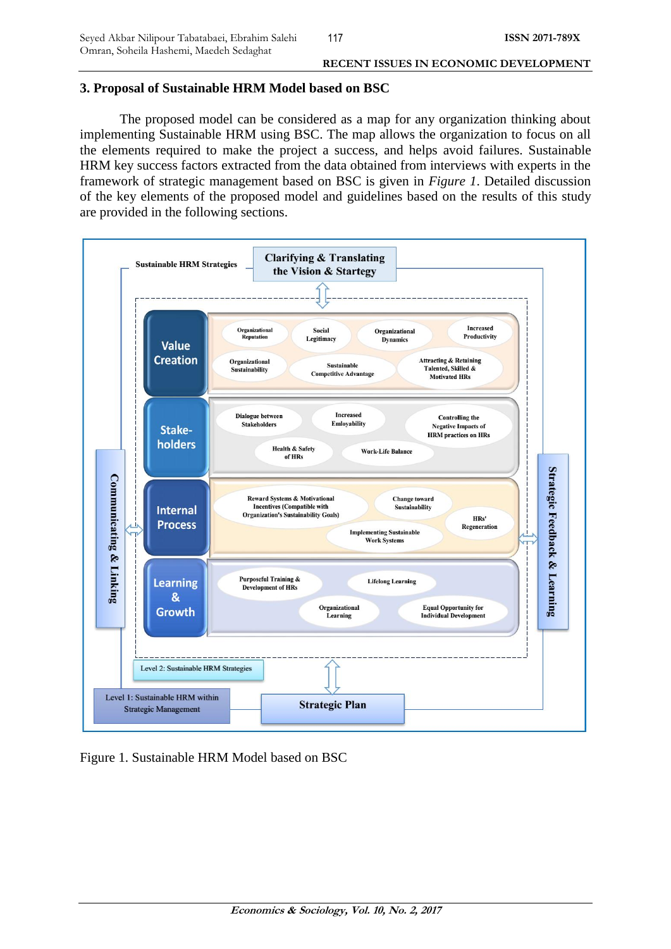## **3. Proposal of Sustainable HRM Model based on BSC**

The proposed model can be considered as a map for any organization thinking about implementing Sustainable HRM using BSC. The map allows the organization to focus on all the elements required to make the project a success, and helps avoid failures. Sustainable HRM key success factors extracted from the data obtained from interviews with experts in the framework of strategic management based on BSC is given in *Figure 1*. Detailed discussion of the key elements of the proposed model and guidelines based on the results of this study are provided in the following sections.



Figure 1. Sustainable HRM Model based on BSC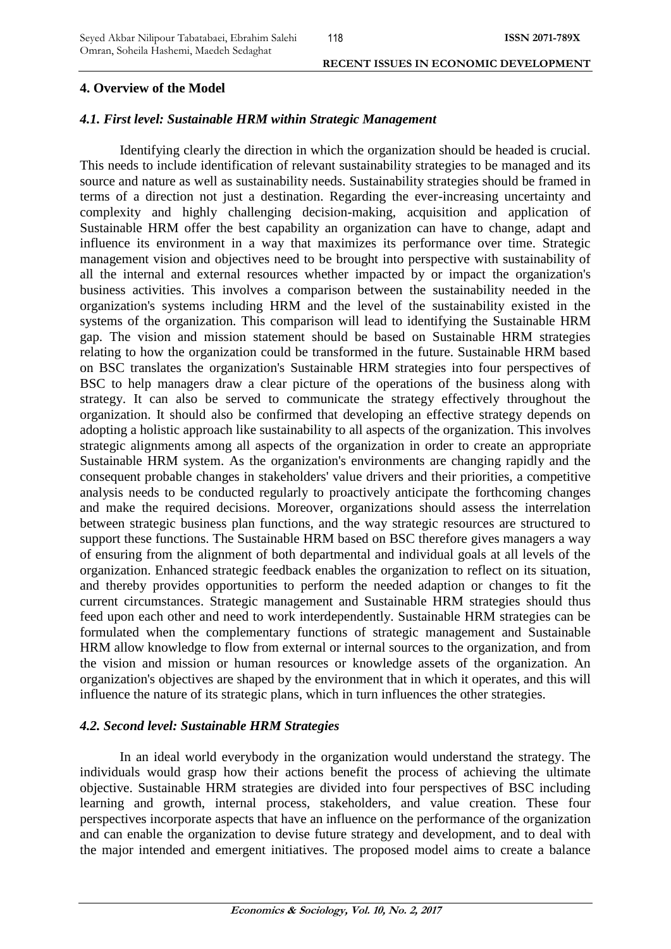## 118

#### **RECENT ISSUES IN ECONOMIC DEVELOPMENT**

## **4. Overview of the Model**

## *4.1. First level: Sustainable HRM within Strategic Management*

Identifying clearly the direction in which the organization should be headed is crucial. This needs to include identification of relevant sustainability strategies to be managed and its source and nature as well as sustainability needs. Sustainability strategies should be framed in terms of a direction not just a destination. Regarding the ever-increasing uncertainty and complexity and highly challenging decision-making, acquisition and application of Sustainable HRM offer the best capability an organization can have to change, adapt and influence its environment in a way that maximizes its performance over time. Strategic management vision and objectives need to be brought into perspective with sustainability of all the internal and external resources whether impacted by or impact the organization's business activities. This involves a comparison between the sustainability needed in the organization's systems including HRM and the level of the sustainability existed in the systems of the organization. This comparison will lead to identifying the Sustainable HRM gap. The vision and mission statement should be based on Sustainable HRM strategies relating to how the organization could be transformed in the future. Sustainable HRM based on BSC translates the organization's Sustainable HRM strategies into four perspectives of BSC to help managers draw a clear picture of the operations of the business along with strategy. It can also be served to communicate the strategy effectively throughout the organization. It should also be confirmed that developing an effective strategy depends on adopting a holistic approach like sustainability to all aspects of the organization. This involves strategic alignments among all aspects of the organization in order to create an appropriate Sustainable HRM system. As the organization's environments are changing rapidly and the consequent probable changes in stakeholders' value drivers and their priorities, a competitive analysis needs to be conducted regularly to proactively anticipate the forthcoming changes and make the required decisions. Moreover, organizations should assess the interrelation between strategic business plan functions, and the way strategic resources are structured to support these functions. The Sustainable HRM based on BSC therefore gives managers a way of ensuring from the alignment of both departmental and individual goals at all levels of the organization. Enhanced strategic feedback enables the organization to reflect on its situation, and thereby provides opportunities to perform the needed adaption or changes to fit the current circumstances. Strategic management and Sustainable HRM strategies should thus feed upon each other and need to work interdependently. Sustainable HRM strategies can be formulated when the complementary functions of strategic management and Sustainable HRM allow knowledge to flow from external or internal sources to the organization, and from the vision and mission or human resources or knowledge assets of the organization. An organization's objectives are shaped by the environment that in which it operates, and this will influence the nature of its strategic plans, which in turn influences the other strategies.

## *4.2. Second level: Sustainable HRM Strategies*

In an ideal world everybody in the organization would understand the strategy. The individuals would grasp how their actions benefit the process of achieving the ultimate objective. Sustainable HRM strategies are divided into four perspectives of BSC including learning and growth, internal process, stakeholders, and value creation. These four perspectives incorporate aspects that have an influence on the performance of the organization and can enable the organization to devise future strategy and development, and to deal with the major intended and emergent initiatives. The proposed model aims to create a balance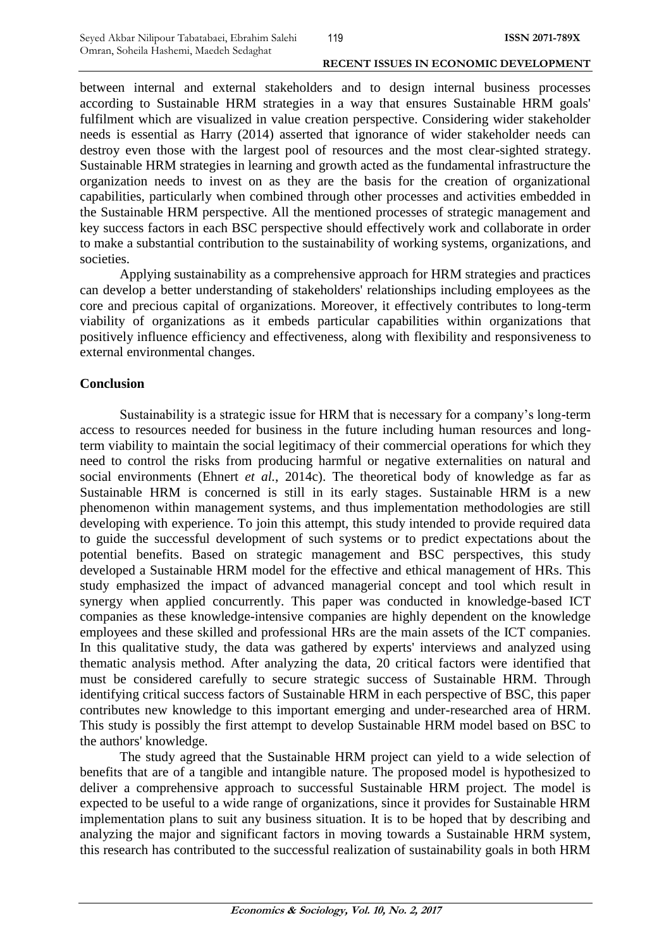between internal and external stakeholders and to design internal business processes according to Sustainable HRM strategies in a way that ensures Sustainable HRM goals' fulfilment which are visualized in value creation perspective. Considering wider stakeholder needs is essential as Harry (2014) asserted that ignorance of wider stakeholder needs can destroy even those with the largest pool of resources and the most clear-sighted strategy. Sustainable HRM strategies in learning and growth acted as the fundamental infrastructure the organization needs to invest on as they are the basis for the creation of organizational capabilities, particularly when combined through other processes and activities embedded in the Sustainable HRM perspective. All the mentioned processes of strategic management and key success factors in each BSC perspective should effectively work and collaborate in order to make a substantial contribution to the sustainability of working systems, organizations, and societies.

Applying sustainability as a comprehensive approach for HRM strategies and practices can develop a better understanding of stakeholders' relationships including employees as the core and precious capital of organizations. Moreover, it effectively contributes to long-term viability of organizations as it embeds particular capabilities within organizations that positively influence efficiency and effectiveness, along with flexibility and responsiveness to external environmental changes.

## **Conclusion**

Sustainability is a strategic issue for HRM that is necessary for a company's long-term access to resources needed for business in the future including human resources and longterm viability to maintain the social legitimacy of their commercial operations for which they need to control the risks from producing harmful or negative externalities on natural and social environments (Ehnert *et al.*, 2014c). The theoretical body of knowledge as far as Sustainable HRM is concerned is still in its early stages. Sustainable HRM is a new phenomenon within management systems, and thus implementation methodologies are still developing with experience. To join this attempt, this study intended to provide required data to guide the successful development of such systems or to predict expectations about the potential benefits. Based on strategic management and BSC perspectives, this study developed a Sustainable HRM model for the effective and ethical management of HRs. This study emphasized the impact of advanced managerial concept and tool which result in synergy when applied concurrently. This paper was conducted in knowledge-based ICT companies as these knowledge-intensive companies are highly dependent on the knowledge employees and these skilled and professional HRs are the main assets of the ICT companies. In this qualitative study, the data was gathered by experts' interviews and analyzed using thematic analysis method. After analyzing the data, 20 critical factors were identified that must be considered carefully to secure strategic success of Sustainable HRM. Through identifying critical success factors of Sustainable HRM in each perspective of BSC, this paper contributes new knowledge to this important emerging and under-researched area of HRM. This study is possibly the first attempt to develop Sustainable HRM model based on BSC to the authors' knowledge.

The study agreed that the Sustainable HRM project can yield to a wide selection of benefits that are of a tangible and intangible nature. The proposed model is hypothesized to deliver a comprehensive approach to successful Sustainable HRM project. The model is expected to be useful to a wide range of organizations, since it provides for Sustainable HRM implementation plans to suit any business situation. It is to be hoped that by describing and analyzing the major and significant factors in moving towards a Sustainable HRM system, this research has contributed to the successful realization of sustainability goals in both HRM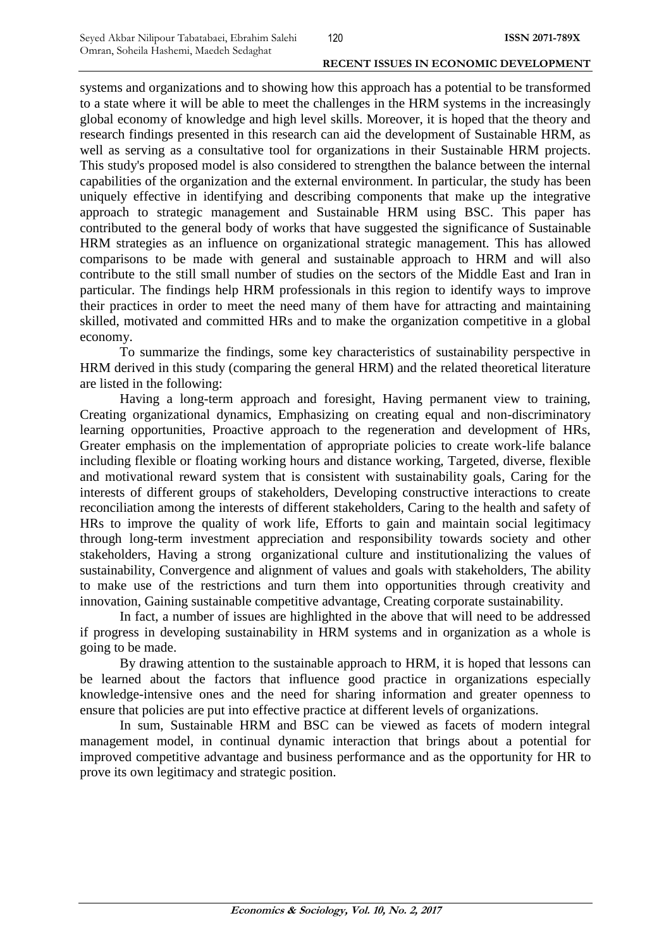systems and organizations and to showing how this approach has a potential to be transformed to a state where it will be able to meet the challenges in the HRM systems in the increasingly global economy of knowledge and high level skills. Moreover, it is hoped that the theory and research findings presented in this research can aid the development of Sustainable HRM, as well as serving as a consultative tool for organizations in their Sustainable HRM projects. This study's proposed model is also considered to strengthen the balance between the internal capabilities of the organization and the external environment. In particular, the study has been uniquely effective in identifying and describing components that make up the integrative approach to strategic management and Sustainable HRM using BSC. This paper has contributed to the general body of works that have suggested the significance of Sustainable HRM strategies as an influence on organizational strategic management. This has allowed comparisons to be made with general and sustainable approach to HRM and will also contribute to the still small number of studies on the sectors of the Middle East and Iran in particular. The findings help HRM professionals in this region to identify ways to improve their practices in order to meet the need many of them have for attracting and maintaining skilled, motivated and committed HRs and to make the organization competitive in a global economy.

To summarize the findings, some key characteristics of sustainability perspective in HRM derived in this study (comparing the general HRM) and the related theoretical literature are listed in the following:

Having a long-term approach and foresight, Having permanent view to training, Creating organizational dynamics, Emphasizing on creating equal and non-discriminatory learning opportunities, Proactive approach to the regeneration and development of HRs, Greater emphasis on the implementation of appropriate policies to create work-life balance including flexible or floating working hours and distance working, Targeted, diverse, flexible and motivational reward system that is consistent with sustainability goals, Caring for the interests of different groups of stakeholders, Developing constructive interactions to create reconciliation among the interests of different stakeholders, Caring to the health and safety of HRs to improve the quality of work life, Efforts to gain and maintain social legitimacy through long-term investment appreciation and responsibility towards society and other stakeholders, Having a strong organizational culture and institutionalizing the values of sustainability, Convergence and alignment of values and goals with stakeholders, The ability to make use of the restrictions and turn them into opportunities through creativity and innovation, Gaining sustainable competitive advantage, Creating corporate sustainability.

In fact, a number of issues are highlighted in the above that will need to be addressed if progress in developing sustainability in HRM systems and in organization as a whole is going to be made.

By drawing attention to the sustainable approach to HRM, it is hoped that lessons can be learned about the factors that influence good practice in organizations especially knowledge-intensive ones and the need for sharing information and greater openness to ensure that policies are put into effective practice at different levels of organizations.

In sum, Sustainable HRM and BSC can be viewed as facets of modern integral management model, in continual dynamic interaction that brings about a potential for improved competitive advantage and business performance and as the opportunity for HR to prove its own legitimacy and strategic position.

**Economics & Sociology, Vol. 10, No. 2, 2017**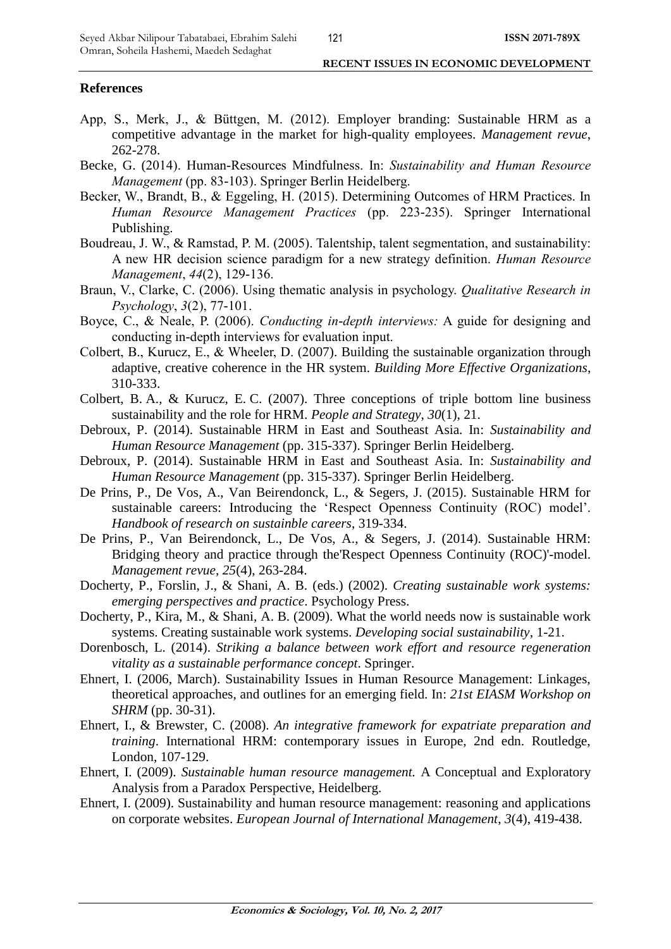## **References**

- App, S., Merk, J., & Büttgen, M. (2012). Employer branding: Sustainable HRM as a competitive advantage in the market for high-quality employees. *Management revue*, 262-278.
- Becke, G. (2014). Human-Resources Mindfulness. In: *Sustainability and Human Resource Management* (pp. 83-103). Springer Berlin Heidelberg.
- Becker, W., Brandt, B., & Eggeling, H. (2015). Determining Outcomes of HRM Practices. In *Human Resource Management Practices* (pp. 223-235). Springer International Publishing.
- Boudreau, J. W., & Ramstad, P. M. (2005). Talentship, talent segmentation, and sustainability: A new HR decision science paradigm for a new strategy definition. *Human Resource Management*, *44*(2), 129-136.
- Braun, V., Clarke, C. (2006). Using thematic analysis in psychology. *Qualitative Research in Psychology*, *3*(2), 77-101.
- Boyce, C., & Neale, P. (2006). *Conducting in-depth interviews:* A guide for designing and conducting in-depth interviews for evaluation input.
- Colbert, B., Kurucz, E., & Wheeler, D. (2007). Building the sustainable organization through adaptive, creative coherence in the HR system. *Building More Effective Organizations*, 310-333.
- Colbert, B. A., & Kurucz, E. C. (2007). Three conceptions of triple bottom line business sustainability and the role for HRM. *People and Strategy*, *30*(1), 21.
- Debroux, P. (2014). Sustainable HRM in East and Southeast Asia. In: *Sustainability and Human Resource Management* (pp. 315-337). Springer Berlin Heidelberg.
- Debroux, P. (2014). Sustainable HRM in East and Southeast Asia. In: *Sustainability and Human Resource Management* (pp. 315-337). Springer Berlin Heidelberg.
- De Prins, P., De Vos, A., Van Beirendonck, L., & Segers, J. (2015). Sustainable HRM for sustainable careers: Introducing the 'Respect Openness Continuity (ROC) model'. *Handbook of research on sustainble careers*, 319-334.
- De Prins, P., Van Beirendonck, L., De Vos, A., & Segers, J. (2014). Sustainable HRM: Bridging theory and practice through the'Respect Openness Continuity (ROC)'-model. *Management revue*, *25*(4), 263-284.
- Docherty, P., Forslin, J., & Shani, A. B. (eds.) (2002). *Creating sustainable work systems: emerging perspectives and practice*. Psychology Press.
- Docherty, P., Kira, M., & Shani, A. B. (2009). What the world needs now is sustainable work systems. Creating sustainable work systems. *Developing social sustainability*, 1-21.
- Dorenbosch, L. (2014). *Striking a balance between work effort and resource regeneration vitality as a sustainable performance concept*. Springer.
- Ehnert, I. (2006, March). Sustainability Issues in Human Resource Management: Linkages, theoretical approaches, and outlines for an emerging field. In: *21st EIASM Workshop on SHRM* (pp. 30-31).
- Ehnert, I., & Brewster, C. (2008). *An integrative framework for expatriate preparation and training*. International HRM: contemporary issues in Europe, 2nd edn. Routledge, London, 107-129.
- Ehnert, I. (2009). *Sustainable human resource management.* A Conceptual and Exploratory Analysis from a Paradox Perspective, Heidelberg.
- Ehnert, I. (2009). Sustainability and human resource management: reasoning and applications on corporate websites. *European Journal of International Management*, *3*(4), 419-438.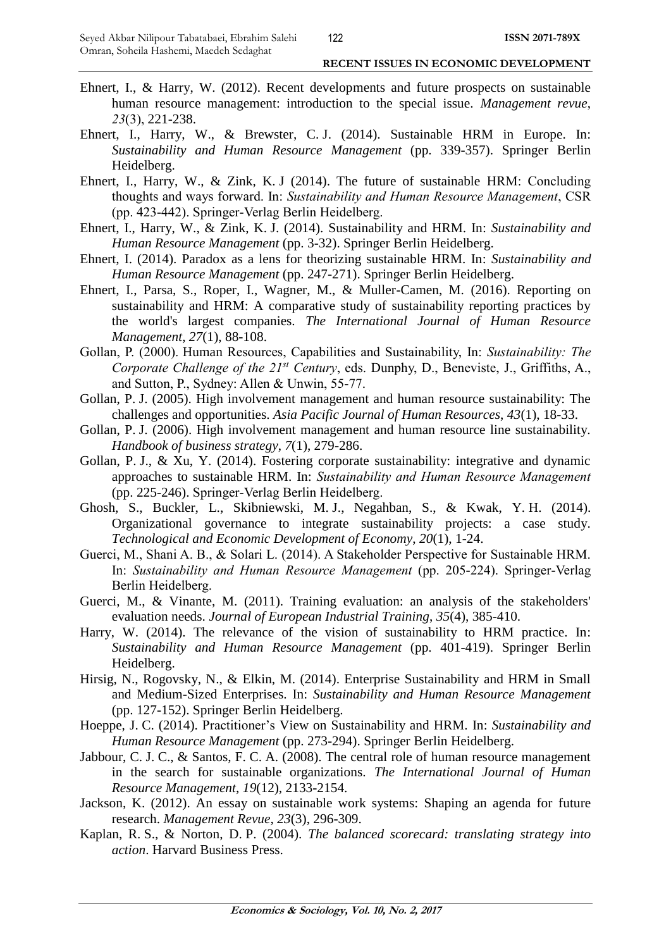- Ehnert, I., & Harry, W. (2012). Recent developments and future prospects on sustainable human resource management: introduction to the special issue. *Management revue*, *23*(3), 221-238.
- Ehnert, I., Harry, W., & Brewster, C. J. (2014). Sustainable HRM in Europe. In: *Sustainability and Human Resource Management* (pp. 339-357). Springer Berlin Heidelberg.
- Ehnert, I., Harry, W., & Zink, K. J (2014). The future of sustainable HRM: Concluding thoughts and ways forward. In: *Sustainability and Human Resource Management*, CSR (pp. 423-442). Springer-Verlag Berlin Heidelberg.
- Ehnert, I., Harry, W., & Zink, K. J. (2014). Sustainability and HRM. In: *Sustainability and Human Resource Management* (pp. 3-32). Springer Berlin Heidelberg.
- Ehnert, I. (2014). Paradox as a lens for theorizing sustainable HRM. In: *Sustainability and Human Resource Management* (pp. 247-271). Springer Berlin Heidelberg.
- Ehnert, I., Parsa, S., Roper, I., Wagner, M., & Muller-Camen, M. (2016). Reporting on sustainability and HRM: A comparative study of sustainability reporting practices by the world's largest companies. *The International Journal of Human Resource Management*, *27*(1), 88-108.
- Gollan, P. (2000). Human Resources, Capabilities and Sustainability, In: *Sustainability: The Corporate Challenge of the 21st Century*, eds. Dunphy, D., Beneviste, J., Griffiths, A., and Sutton, P., Sydney: Allen & Unwin, 55-77.
- Gollan, P. J. (2005). High involvement management and human resource sustainability: The challenges and opportunities. *Asia Pacific Journal of Human Resources*, *43*(1), 18-33.
- Gollan, P. J. (2006). High involvement management and human resource line sustainability. *Handbook of business strategy*, *7*(1), 279-286.
- Gollan, P. J., & Xu, Y. (2014). Fostering corporate sustainability: integrative and dynamic approaches to sustainable HRM. In: *Sustainability and Human Resource Management* (pp. 225-246). Springer-Verlag Berlin Heidelberg.
- Ghosh, S., Buckler, L., Skibniewski, M. J., Negahban, S., & Kwak, Y. H. (2014). Organizational governance to integrate sustainability projects: a case study. *Technological and Economic Development of Economy*, *20*(1), 1-24.
- Guerci, M., Shani A. B., & Solari L. (2014). A Stakeholder Perspective for Sustainable HRM. In: *Sustainability and Human Resource Management* (pp. 205-224). Springer-Verlag Berlin Heidelberg.
- Guerci, M., & Vinante, M. (2011). Training evaluation: an analysis of the stakeholders' evaluation needs. *Journal of European Industrial Training*, *35*(4), 385-410.
- Harry, W. (2014). The relevance of the vision of sustainability to HRM practice. In: *Sustainability and Human Resource Management* (pp. 401-419). Springer Berlin Heidelberg.
- Hirsig, N., Rogovsky, N., & Elkin, M. (2014). Enterprise Sustainability and HRM in Small and Medium-Sized Enterprises. In: *Sustainability and Human Resource Management*  (pp. 127-152). Springer Berlin Heidelberg.
- Hoeppe, J. C. (2014). Practitioner's View on Sustainability and HRM. In: *Sustainability and Human Resource Management* (pp. 273-294). Springer Berlin Heidelberg.
- Jabbour, C. J. C., & Santos, F. C. A. (2008). The central role of human resource management in the search for sustainable organizations. *The International Journal of Human Resource Management*, *19*(12), 2133-2154.
- Jackson, K. (2012). An essay on sustainable work systems: Shaping an agenda for future research. *Management Revue*, *23*(3), 296-309.
- Kaplan, R. S., & Norton, D. P. (2004). *The balanced scorecard: translating strategy into action*. Harvard Business Press.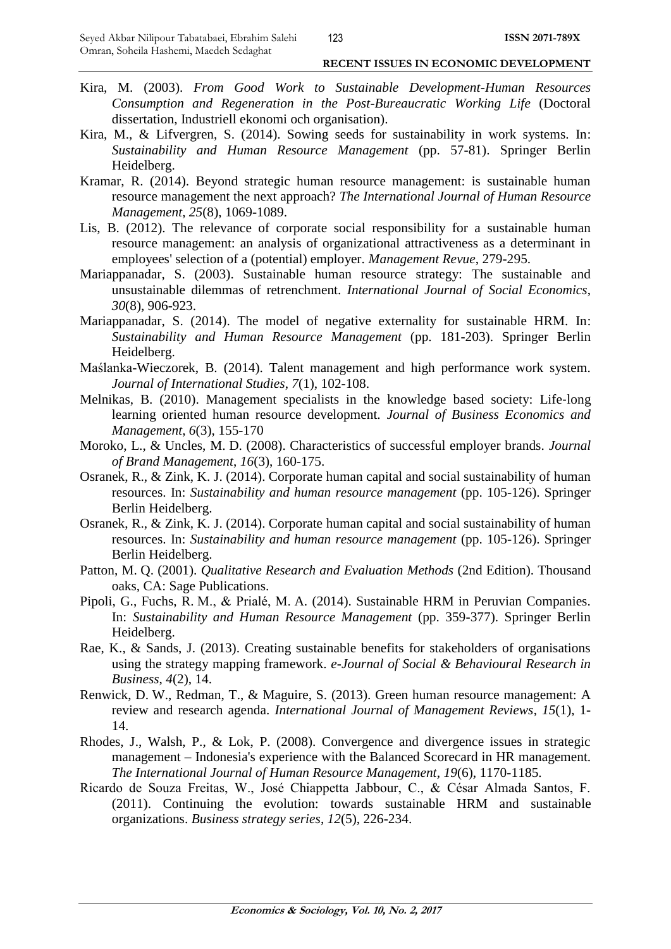- Kira, M. (2003). *From Good Work to Sustainable Development-Human Resources Consumption and Regeneration in the Post-Bureaucratic Working Life* (Doctoral dissertation, Industriell ekonomi och organisation).
- Kira, M., & Lifvergren, S. (2014). Sowing seeds for sustainability in work systems. In: *Sustainability and Human Resource Management* (pp. 57-81). Springer Berlin Heidelberg.
- Kramar, R. (2014). Beyond strategic human resource management: is sustainable human resource management the next approach? *The International Journal of Human Resource Management*, *25*(8), 1069-1089.
- Lis, B. (2012). The relevance of corporate social responsibility for a sustainable human resource management: an analysis of organizational attractiveness as a determinant in employees' selection of a (potential) employer. *Management Revue*, 279-295.
- Mariappanadar, S. (2003). Sustainable human resource strategy: The sustainable and unsustainable dilemmas of retrenchment. *International Journal of Social Economics*, *30*(8), 906-923.
- Mariappanadar, S. (2014). The model of negative externality for sustainable HRM. In: *Sustainability and Human Resource Management* (pp. 181-203). Springer Berlin Heidelberg.
- Maślanka-Wieczorek, B. (2014). Talent management and high performance work system. *Journal of International Studies*, *7*(1), 102-108.
- Melnikas, B. (2010). Management specialists in the knowledge based society: Life-long learning oriented human resource development. *Journal of Business Economics and Management*, *6*(3), 155-170
- Moroko, L., & Uncles, M. D. (2008). Characteristics of successful employer brands. *Journal of Brand Management*, *16*(3), 160-175.
- Osranek, R., & Zink, K. J. (2014). Corporate human capital and social sustainability of human resources. In: *Sustainability and human resource management* (pp. 105-126). Springer Berlin Heidelberg.
- Osranek, R., & Zink, K. J. (2014). Corporate human capital and social sustainability of human resources. In: *Sustainability and human resource management* (pp. 105-126). Springer Berlin Heidelberg.
- Patton, M. Q. (2001). *[Qualitative Research and Evaluation Methods](http://books.google.com/books?hl=en&lr=&id=FjBw2oi8El4C&oi=fnd&pg=PP5&sig=a-aWpUDMZqdPqx2VqQaQ9MbTVig&dq=Qualitative+Evaluation+and+Research+Methods&prev=http://scholar.google.com/scholar%3Fq%3DQualitative%2BEvaluation%2Band%2BResearch%2BMethods%26num%3D100%26hl%3Den%26lr%3D%26sa%3DG)* (2nd Edition). Thousand oaks, CA: Sage Publications.
- Pipoli, G., Fuchs, R. M., & Prialé, M. A. (2014). Sustainable HRM in Peruvian Companies. In: *Sustainability and Human Resource Management* (pp. 359-377). Springer Berlin Heidelberg.
- Rae, K., & Sands, J. (2013). Creating sustainable benefits for stakeholders of organisations using the strategy mapping framework. *e-Journal of Social & Behavioural Research in Business*, *4*(2), 14.
- Renwick, D. W., Redman, T., & Maguire, S. (2013). Green human resource management: A review and research agenda. *International Journal of Management Reviews*, *15*(1), 1- 14.
- Rhodes, J., Walsh, P., & Lok, P. (2008). Convergence and divergence issues in strategic management – Indonesia's experience with the Balanced Scorecard in HR management. *The International Journal of Human Resource Management*, *19*(6), 1170-1185.
- Ricardo de Souza Freitas, W., José Chiappetta Jabbour, C., & César Almada Santos, F. (2011). Continuing the evolution: towards sustainable HRM and sustainable organizations. *Business strategy series*, *12*(5), 226-234.